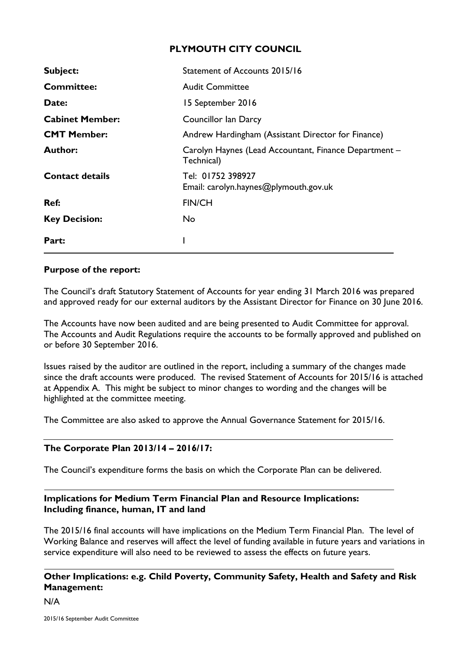# **PLYMOUTH CITY COUNCIL**

| Subject:               | Statement of Accounts 2015/16                                       |
|------------------------|---------------------------------------------------------------------|
| <b>Committee:</b>      | <b>Audit Committee</b>                                              |
| Date:                  | 15 September 2016                                                   |
| <b>Cabinet Member:</b> | <b>Councillor Ian Darcy</b>                                         |
| <b>CMT Member:</b>     | Andrew Hardingham (Assistant Director for Finance)                  |
| Author:                | Carolyn Haynes (Lead Accountant, Finance Department -<br>Technical) |
| <b>Contact details</b> | Tel: 01752 398927<br>Email: carolyn.haynes@plymouth.gov.uk          |
| Ref:                   | <b>FIN/CH</b>                                                       |
| <b>Key Decision:</b>   | No.                                                                 |
| Part:                  |                                                                     |

### **Purpose of the report:**

The Council's draft Statutory Statement of Accounts for year ending 31 March 2016 was prepared and approved ready for our external auditors by the Assistant Director for Finance on 30 June 2016.

The Accounts have now been audited and are being presented to Audit Committee for approval. The Accounts and Audit Regulations require the accounts to be formally approved and published on or before 30 September 2016.

Issues raised by the auditor are outlined in the report, including a summary of the changes made since the draft accounts were produced. The revised Statement of Accounts for 2015/16 is attached at Appendix A. This might be subject to minor changes to wording and the changes will be highlighted at the committee meeting.

The Committee are also asked to approve the Annual Governance Statement for 2015/16.

### **The Corporate Plan 2013/14 – 2016/17:**

The Council's expenditure forms the basis on which the Corporate Plan can be delivered.

# **Implications for Medium Term Financial Plan and Resource Implications: Including finance, human, IT and land**

The 2015/16 final accounts will have implications on the Medium Term Financial Plan. The level of Working Balance and reserves will affect the level of funding available in future years and variations in service expenditure will also need to be reviewed to assess the effects on future years.

# **Other Implications: e.g. Child Poverty, Community Safety, Health and Safety and Risk Management:**

N/A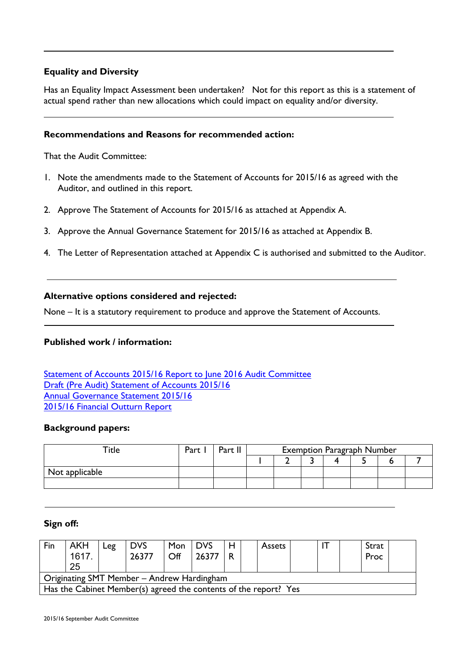### **Equality and Diversity**

Has an Equality Impact Assessment been undertaken? Not for this report as this is a statement of actual spend rather than new allocations which could impact on equality and/or diversity.

### **Recommendations and Reasons for recommended action:**

That the Audit Committee:

- 1. Note the amendments made to the Statement of Accounts for 2015/16 as agreed with the Auditor, and outlined in this report.
- 2. Approve The Statement of Accounts for 2015/16 as attached at Appendix A.
- 3. Approve the Annual Governance Statement for 2015/16 as attached at Appendix B.
- 4. The Letter of Representation attached at Appendix C is authorised and submitted to the Auditor.

#### **Alternative options considered and rejected:**

None – It is a statutory requirement to produce and approve the Statement of Accounts.

#### **Published work / information:**

[Statement](http://democracy.plymouth.gov.uk/documents/s72134/Draft%20Statement%20of%20Accounts%202015-16%20Report%20v%20ah.pdf) of Accounts 2015/16 [Report](http://democracy.plymouth.gov.uk/documents/s72134/Draft%20Statement%20of%20Accounts%202015-16%20Report%20v%20ah.pdf) to June 2016 Audit [Committee](http://democracy.plymouth.gov.uk/documents/s72134/Draft%20Statement%20of%20Accounts%202015-16%20Report%20v%20ah.pdf) [Draft](http://www.plymouth.gov.uk/2015_to_2016_draft_statement_of_accounts.pdf) (Pre Audit) [Statement](http://www.plymouth.gov.uk/2015_to_2016_draft_statement_of_accounts.pdf) of Accounts 2015/16 Annual [Governance](http://democracy.plymouth.gov.uk/documents/s72346/AGS%202015-16%20Final.pdf) Statement 2015/16 2015/16 [Financial](http://democracy.plymouth.gov.uk/documents/s72447/Financial%20Outturn%20201516%20FINAL.pdf) Outturn Report

#### **Background papers:**

| $\mathop{\mathsf{~Tite}}$ | Part | $Dr_{rr}$ II | <b>Exemption Paragraph Number</b> |  |  |  |  |  |  |  |
|---------------------------|------|--------------|-----------------------------------|--|--|--|--|--|--|--|
|                           |      |              |                                   |  |  |  |  |  |  |  |
| Not applicable            |      |              |                                   |  |  |  |  |  |  |  |
|                           |      |              |                                   |  |  |  |  |  |  |  |

#### **Sign off:**

| Fin                                                              | AKH<br>1617<br>25 | Leg | <b>DVS</b><br>26377 | Mon<br>Off | <b>DVS</b><br>26377 | Н<br>R | <b>Assets</b> |  |  |  | Strat<br>Proc |  |
|------------------------------------------------------------------|-------------------|-----|---------------------|------------|---------------------|--------|---------------|--|--|--|---------------|--|
| Originating SMT Member - Andrew Hardingham                       |                   |     |                     |            |                     |        |               |  |  |  |               |  |
| Has the Cabinet Member(s) agreed the contents of the report? Yes |                   |     |                     |            |                     |        |               |  |  |  |               |  |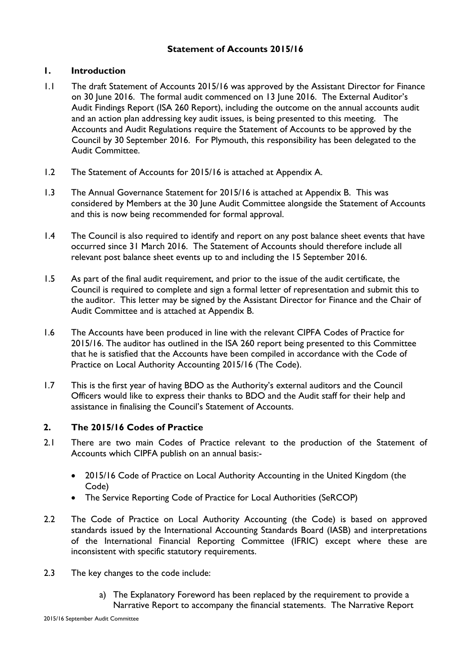### **Statement of Accounts 2015/16**

### **1. Introduction**

- 1.1 The draft Statement of Accounts 2015/16 was approved by the Assistant Director for Finance on 30 June 2016. The formal audit commenced on 13 June 2016. The External Auditor's Audit Findings Report (ISA 260 Report), including the outcome on the annual accounts audit and an action plan addressing key audit issues, is being presented to this meeting. The Accounts and Audit Regulations require the Statement of Accounts to be approved by the Council by 30 September 2016. For Plymouth, this responsibility has been delegated to the Audit Committee.
- 1.2 The Statement of Accounts for 2015/16 is attached at Appendix A.
- 1.3 The Annual Governance Statement for 2015/16 is attached at Appendix B. This was considered by Members at the 30 June Audit Committee alongside the Statement of Accounts and this is now being recommended for formal approval.
- 1.4 The Council is also required to identify and report on any post balance sheet events that have occurred since 31 March 2016. The Statement of Accounts should therefore include all relevant post balance sheet events up to and including the 15 September 2016.
- 1.5 As part of the final audit requirement, and prior to the issue of the audit certificate, the Council is required to complete and sign a formal letter of representation and submit this to the auditor. This letter may be signed by the Assistant Director for Finance and the Chair of Audit Committee and is attached at Appendix B.
- 1.6 The Accounts have been produced in line with the relevant CIPFA Codes of Practice for 2015/16. The auditor has outlined in the ISA 260 report being presented to this Committee that he is satisfied that the Accounts have been compiled in accordance with the Code of Practice on Local Authority Accounting 2015/16 (The Code).
- 1.7 This is the first year of having BDO as the Authority's external auditors and the Council Officers would like to express their thanks to BDO and the Audit staff for their help and assistance in finalising the Council's Statement of Accounts.

# **2. The 2015/16 Codes of Practice**

- 2.1 There are two main Codes of Practice relevant to the production of the Statement of Accounts which CIPFA publish on an annual basis:-
	- 2015/16 Code of Practice on Local Authority Accounting in the United Kingdom (the Code)
	- The Service Reporting Code of Practice for Local Authorities (SeRCOP)
- 2.2 The Code of Practice on Local Authority Accounting (the Code) is based on approved standards issued by the International Accounting Standards Board (IASB) and interpretations of the International Financial Reporting Committee (IFRIC) except where these are inconsistent with specific statutory requirements.
- 2.3 The key changes to the code include:
	- a) The Explanatory Foreword has been replaced by the requirement to provide a Narrative Report to accompany the financial statements. The Narrative Report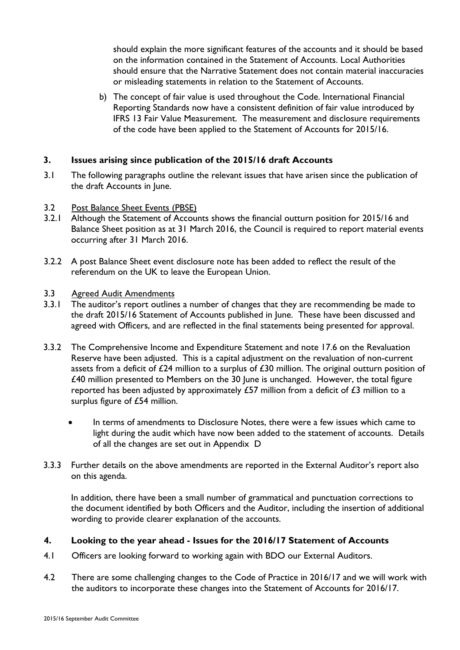should explain the more significant features of the accounts and it should be based on the information contained in the Statement of Accounts. Local Authorities should ensure that the Narrative Statement does not contain material inaccuracies or misleading statements in relation to the Statement of Accounts.

b) The concept of fair value is used throughout the Code. International Financial Reporting Standards now have a consistent definition of fair value introduced by IFRS 13 Fair Value Measurement. The measurement and disclosure requirements of the code have been applied to the Statement of Accounts for 2015/16.

### **3. Issues arising since publication of the 2015/16 draft Accounts**

- 3.1 The following paragraphs outline the relevant issues that have arisen since the publication of the draft Accounts in June.
- 3.2 Post Balance Sheet Events (PBSE)
- 3.2.1 Although the Statement of Accounts shows the financial outturn position for 2015/16 and Balance Sheet position as at 31 March 2016, the Council is required to report material events occurring after 31 March 2016.
- 3.2.2 A post Balance Sheet event disclosure note has been added to reflect the result of the referendum on the UK to leave the European Union.

### 3.3 Agreed Audit Amendments

- 3.3.1 The auditor's report outlines a number of changes that they are recommending be made to the draft 2015/16 Statement of Accounts published in June. These have been discussed and agreed with Officers, and are reflected in the final statements being presented for approval.
- 3.3.2 The Comprehensive Income and Expenditure Statement and note 17.6 on the Revaluation Reserve have been adjusted. This is a capital adjustment on the revaluation of non-current assets from a deficit of £24 million to a surplus of £30 million. The original outturn position of £40 million presented to Members on the 30 June is unchanged. However, the total figure reported has been adjusted by approximately  $£57$  million from a deficit of  $£3$  million to a surplus figure of £54 million.
	- In terms of amendments to Disclosure Notes, there were a few issues which came to light during the audit which have now been added to the statement of accounts. Details of all the changes are set out in Appendix D
- 3.3.3 Further details on the above amendments are reported in the External Auditor's report also on this agenda.

In addition, there have been a small number of grammatical and punctuation corrections to the document identified by both Officers and the Auditor, including the insertion of additional wording to provide clearer explanation of the accounts.

### **4. Looking to the year ahead - Issues for the 2016/17 Statement of Accounts**

- 4.1 Officers are looking forward to working again with BDO our External Auditors.
- 4.2 There are some challenging changes to the Code of Practice in 2016/17 and we will work with the auditors to incorporate these changes into the Statement of Accounts for 2016/17.